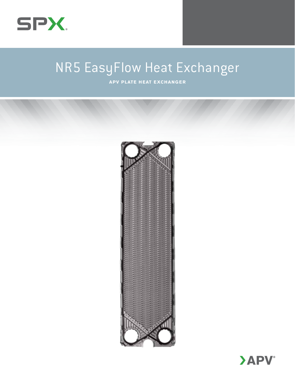

# NR5 EasyFlow Heat Exchanger

**APV Plate Heat Exchanger**



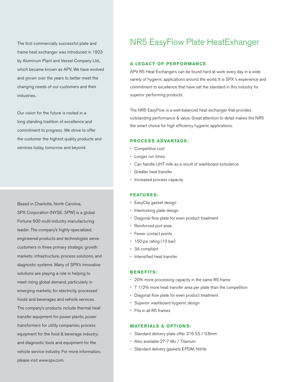The first commercially successful plate and frame heat exchanger was introduced in 1923 by Aluminum Plant and Vessel Company Ltd., which became known as APV. We have evolved and grown over the years to better meet the changing needs of our customers and their industries.

Our vision for the future is rooted in a long standing tradition of excellence and commitment to progress. We strive to offer the customer the highest quality products and services today, tomorrow and beyond.

Based in Charlotte, North Carolina, SPX Corporation (NYSE: SPW) is a global Fortune 500 multi-industry manufacturing leader. The company's highly-specialized, engineered products and technologies serve customers in three primary strategic growth markets: infrastructure, process solutions, and diagnostic systems. Many of SPX's innovative solutions are playing a role in helping to meet rising global demand, particularly in emerging markets, for electricity, processed foods and beverages and vehicle services. The company's products include thermal heat transfer equipment for power plants; power transformers for utility companies; process equipment for the food & beverage industry; and diagnostic tools and equipment for the vehicle service industry. For more information, please visit www.spx.com.

# NR5 EasyFlow Plate HeatExhanger

# **A Legacy Of Perfor mance**

APV R5 Heat Exchangers can be found hard at work every day in a wide variety of hygienic applications around the world. It is SPX 's experience and commitment to excellence that have set the standard in this industry for superior performing products.

The NR5 EasyFlow is a well-balanced heat exchanger that provides outstanding performance & value. Great attention to detail makes the NR5 the smart choice for high efficiency hygienic applications.

## **PROCESS ADVANTAGE:**

- • Competitive cost
- • Longer run times
- • Can handle UHT milk as a result of washboard turbulence
- • Greater heat transfer
- Increased process capacity

### **Featu r e s:**

- • EasyClip gasket design
- Interlocking plate design
- Diagonal flow plate for even product treatment
- • Reinforced port area
- Fewer contact points
- • 150 psi rating (10 bar)
- • 3A compliant
- • Intensified heat transfer

## **Benefits:**

- • 20% more processing capacity in the same R5 frame
- • 7 1/2% more heat transfer area per plate than the competition
- Diagonal flow plate for even product treatment
- Superior washboard hygienic design
- • Fits in all R5 frames

### **Materials & Options:**

- • Standard delivery plate offer 316 SS / 0.6mm
- • Also available 27-7 Mo / Titanium
- • Standard delivery gaskets EPDM, Nitrile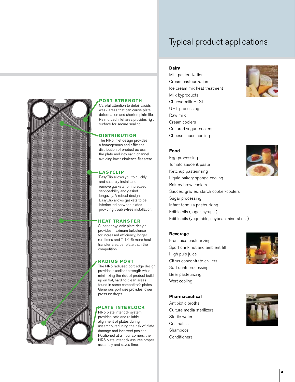# Typical product applications

# **Dairy**

**Port Strength** Careful attention to detail avoids weak areas that can cause plate deformation and shorten plate life. Reinforced inlet area provides rigid surface for secure sealing.

**D istri b ution** The NR5 inlet design provides a homogenous and efficient distribution of product across the plate and into each channel avoiding low turbulence flat areas.

**EasyClip**

EasyClip allows you to quickly and securely install and remove gaskets for increased serviceability and gasket longevity. A robust design, EasyClip allows gaskets to be interlocked between plates providing trouble-free installation.

**H eat Transfer** Superior hygienic plate design provides maximum turbulence for increased efficiency, longer run times and 7 1/2% more heat transfer area per plate than the

competition.

pressure drops.

**Radius Port**

The NR5 radiused port edge design provides excellent strength while minimizing the risk of product build up on flat, hard-to-clean areas found in some competitor's plates. Generous port size provides lower

**Plate I nterlock** NR5 plate interlock system provides safe and reliable alignment of plates during assembly, reducing the risk of plate damage and incorrect position. Positioned at all four corners, the NR5 plate interlock assures proper assembly and saves time.

Milk pasteurization Cream pasteurization Ice cream mix heat treatment Milk byproducts Cheese-milk HTST UHT processing Raw milk Cream coolers Cultured yogurt coolers Cheese sauce cooling



## **Food**

Egg processing Tomato sauce & paste Ketchup pasteurizing Liquid bakery sponge cooling Bakery brew coolers Sauces, gravies, starch cooker-coolers Sugar processing Infant formula pasteurizing Edible oils (sugar, syrups ) Edible oils (vegetable, soybean,mineral oils)

## **Beverage**

Fruit juice pasteurizing Sport drink hot and ambient fill High pulp juice Citrus concentrate chillers Soft drink processing Beer pasteurizing Wort cooling

#### **Pharmaceutical**

Antibiotic broths Culture media sterilizers Sterile water **Cosmetics** Shampoos Conditioners